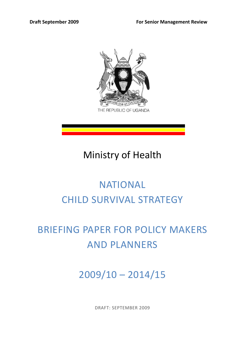

# Ministry of Health

# NATIONAL CHILD SURVIVAL STRATEGY

# BRIEFING PAPER FOR POLICY MAKERS AND PLANNERS

2009/10 – 2014/15

DRAFT: SEPTEMBER 2009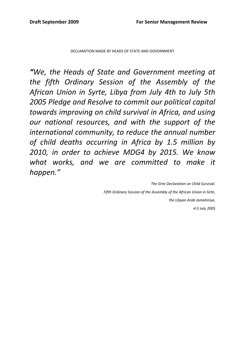DECLARATION MADE BY HEADS OF STATE AND GOVERNMENT

*"We, the Heads of State and Government meeting at the fifth Ordinary Session of the Assembly of the African Union in Syrte, Libya from July 4th to July 5th 2005 Pledge and Resolve to commit our political capital towards improving on child survival in Africa, and using our national resources, and with the support of the international community, to reduce the annual number of child deaths occurring in Africa by 1.5 million by 2010, in order to achieve MDG4 by 2015. We know what works, and we are committed to make it happen."*

> *The Sirte Declaration on Child Survival. Fifth Ordinary Session of the Assembly of the African Union in Sirte, the Libyan Arab Jamahiriya, 4‐5 July 2005*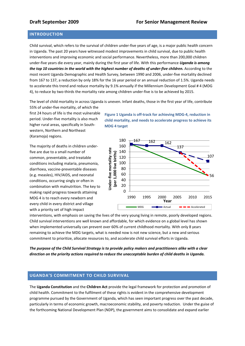# **INTRODUCTION**

Child survival, which refers to the survival of children under‐five years of age, is a major public health concern in Uganda. The past 20 years have witnessed modest improvements in child survival, due to public health interventions and improving economic and social performance. Nevertheless, more than 200,000 children under‐five years die every year, mainly during the first year of life. With this performance *Uganda is among* the top 10 countries in the world with the highest number of deaths of under-five children. According to the most recent Uganda Demographic and Health Survey, between 1990 and 2006, under‐five mortality declined from 167 to 137, a reduction by only 18% for the 16 year period or an annual reduction of 1.5%. Uganda needs to accelerate this trend and reduce mortality by 9.1% annually if the Millennium Development Goal # 4 (MDG 4), to reduce by two-thirds the mortality rate among children under-five is to be achieved by 2015.

The level of child mortality in across Uganda is uneven. Infant deaths, those in the first year of life, contribute 55% of under‐five mortality, of which the

first 24 hours of life is the most vulnerable period. Under‐five mortality is also much higher rural areas, specifically in South‐ western, Northern and Northeast (Karamoja) regions.

The majority of deaths in children under‐ five are due to a small number of common, preventable, and treatable conditions including malaria, pneumonia, diarrhoea, vaccine‐preventable diseases (e.g. measles), HIV/AIDS, and neonatal conditions, occurring singly or often in combination with malnutrition. The key to making rapid progress towards attaining MDG 4 is to reach every newborn and every child in every district and village with a priority set of high impact

**Figure 1 Uganda is off‐track for achieving MDG‐4, reduction in child mortality, and needs to accelerate progress to achieve its MDG 4 target**



interventions, with emphasis on saving the lives of the very young living in remote, poorly developed regions. Child survival interventions are well known and affordable, for which evidence on a global level has shown when implemented universally can prevent over 60% of current childhood mortality. With only 8 years remaining to achieve the MDG targets, what is needed now is not new science, but a new and serious commitment to prioritize, allocate resources to, and accelerate child survival efforts in Uganda.

The purpose of the Child Survival Strategy is to provide policy makers and practitioners alike with a clear *direction on the priority actions required to reduce the unacceptable burden of child deaths in Uganda.*

# **UGANDA'S COMMITMENT TO CHILD SURVIVAL**

The **Uganda Constitution** and the **Children Act** provide the legal framework for protection and promotion of child health. Commitment to the fulfilment of these rights is evident in the comprehensive development programme pursued by the Government of Uganda, which has seen important progress over the past decade, particularly in terms of economic growth, macroeconomic stability, and poverty reduction. Under the guise of the forthcoming National Development Plan (NDP), the government aims to consolidate and expand earlier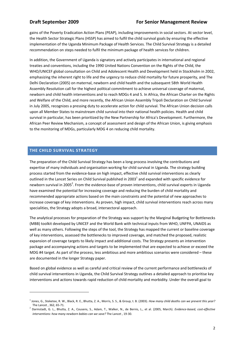gains of the Poverty Eradication Action Plans (PEAP), including improvements in social sectors. At sector level, the Health Sector Strategic Plans (HSSP) has aimed to fulfil the child survival goals by ensuring the effective implementation of the Uganda Minimum Package of Health Services. The Child Survival Strategy is a detailed recommendation on steps needed to fulfil the minimum package of health services for children.

In addition, the Government of Uganda is signatory and actively participates in international and regional treaties and conventions, including the 1990 United Nations Convention on the Rights of the Child, the WHO/UNICEF global consultation on Child and Adolescent Health and Development held in Stockholm in 2002, emphasizing the inherent right to life and the urgency to reduce child mortality for future prosperity, and The Delhi Declaration (2005) on maternal, newborn and child health and the subsequent 58th World Health Assembly Resolution call for the highest political commitment to achieve universal coverage of maternal, newborn and child health interventions and to reach MDGs 4 and 5. In Africa, the African Charter on the Rights and Welfare of the Child, and more recently, the African Union Assembly Tripoli Declaration on Child Survival in July 2005, recognizes a pressing duty to accelerate action for child survival. The African Union decision calls upon all Member States to mainstream child survival into their national health policies. Health and child survival in particular, has been prioritized by the New Partnership for Africa's Development. Furthermore, the African Peer Review Mechanism, a concept of assessment and design of the African Union, is giving emphasis to the monitoring of MDGs, particularly MDG 4 on reducing child mortality.

# **THE CHILD SURVIVAL STRATEGY**

<u> Andrew Maria (1989)</u>

The preparation of the Child Survival Strategy has been a long process involving the contributions and expertise of many individuals and organisation working for child survival in Uganda. The strategy building process started from the evidence‐base on high impact, effective child survival interventions as clearly outlined in the Lancet Series on Child Survival published in 2003 $^1$  and expanded with specific evidence for newborn survival in 2005<sup>2</sup>. From the evidence-base of proven interventions, child survival experts in Uganda have examined the potential for increasing coverage and reducing the burden of child mortality and recommended appropriate actions based on the main constraints and the potential of new approaches to increase coverage of key interventions. As proven, high impact, child survival interventions reach across many specialities, the Strategy adopts a broad, intersectoral approach.

The analytical processes for preparation of the Strategy was support by the Marginal Budgeting for Bottlenecks (MBB) toolkit developed by UNICEF and the World Bank with technical inputs from WHO, UNFPA, UNAIDS as well as many others. Following the steps of the tool, the Strategy has mapped the current or baseline coverage of key interventions, assessed the bottlenecks to improved coverage, and matched the proposed, realistic expansion of coverage targets to likely impact and additional costs. The Strategy presents an intervention package and accompanying actions and targets to be implemented that are expected to achieve or exceed the MDG #4 target. As part of the process, less ambitious and more ambitious scenarios were considered – these are documented in the longer Strategy paper.

Based on global evidence as well as careful and critical review of the current performance and bottlenecks of child survival interventions in Uganda, the Child Survival Strategy outlines a detailed approach to prioritise key interventions and actions towards rapid reduction of child mortality and morbidity. Under the overall goal to

<sup>1</sup> Jones, G., Steketee, R. W., Black, R. E., Bhutta, Z. A., Morris, S. S., & Group, t. B. (2003). *How many child deaths can we prevent this year?* The Lancet , 362, 65‐71.

<sup>2</sup> Darmstadt, G. L., Bhutta, Z. A., Cousens, S., Adam, T., Walker, N., de Bernis, L., et al. (2005, March). *Evidence‐based, cost‐effective interventions: how many newborn babies can we save?* The Lancet , 19‐30.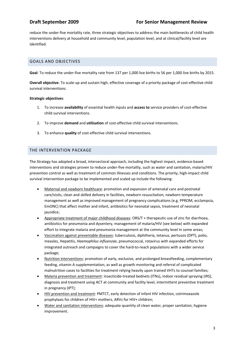# **Draft September 2009 For Senior Management Review**

reduce the under‐five mortality rate, three strategic objectives to address the main bottlenecks of child health interventions delivery at household and community level, population level, and at clinical/facility level are identified.

# GOALS AND OBJECTIVES

**Goal**: To reduce the under‐five mortality rate from 137 per 1,000 live births to 56 per 1,000 live births by 2015.

**Overall objective**: To scale‐up and sustain high, effective coverage of a priority package of cost‐effective child survival interventions.

# **Strategic objectives**:

- 1. To increase **availability** of essential health inputs and **access to** service providers of cost‐effective child survival interventions.
- 2. To improve **demand** and **utilisation** of cost-effective child survival interventions.
- 3. To enhance **quality** of cost‐effective child survival interventions.

# THE INTERVENTION PACKAGE

The Strategy has adopted a broad, intersectoral approach, including the highest impact, evidence‐based interventions and strategies proven to reduce under‐five mortality, such as water and sanitation, malaria/HIV prevention control as well as treatment of common illnesses and conditions. The priority, high-impact child survival intervention package to be implemented and scaled up include the following:

- Maternal and newborn healthcare: promotion and expansion of antenatal care and postnatal care/visits, clean and skilled delivery in facilities, newborn resuscitation, newborn temperature management as well as improved management of pregnancy complications (e.g. PPROM, ecclampsia, EmONC) that affect mother and infant, antibiotics for neonatal sepsis, treatment of neonatal jaundice;
- Appropriate treatment of major childhood diseases: ORS/T + therapeutic use of zinc for diarrhoea, antibiotics for pneumonia and dysentery, management of malaria/HIV (see below) with expanded effort to integrate malaria and pneumonia management at the community level in some areas;
- Vaccination against preventable diseases: tuberculosis, diphtheria, tetanus, pertussis (DPT), polio, measles, Hepatitis, *Haemophilus influenzae*, pneumococcal, rotavirus with expanded efforts for integrated outreach and campaigns to cover the hard‐to‐reach populations with a wider service package;
- Nutrition interventions: promotion of early, exclusive, and prolonged breastfeeding, complementary feeding, vitamin A supplementation; as well as growth monitoring and referral of complicated malnutrition cases to facilities for treatment relying heavily upon trained VHTs to counsel families;
- Malaria prevention and treatment: insecticide-treated bednets (ITNs), indoor residual spraying (IRS), diagnosis and treatment using ACT at community and facility level, intermittent preventive treatment in pregnancy (IPT);
- HIV prevention and treatment: PMTCT, early detection of infant HIV infection, cotrimoxazole prophylaxis for children of HIV+ mothers, ARVs for HIV+ children;
- Water and sanitation interventions: adequate quantity of clean water, proper sanitation, hygiene improvement.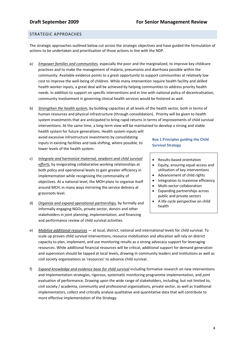# STRATEGIC APPROACHES

The strategic approaches outlined below cut across the strategic objectives and have guided the formulation of actions to be undertaken and prioritisation of those actions in line with the NDP.

- a) *Empower families and communities,* especially the poor and the marginalized, to improve key childcare practices and to make the management of malaria, pneumonia and diarrhoea possible within the community. Available evidence points to a great opportunity to support communities at relatively low cost to improve the well‐being of children. While many intervention require health facility and skilled health worker inputs, a great deal will be achieved by helping communities to address priority health needs. In addition to support on specific interventions and in line with national policy of decentralisation, community involvement in governing clinical health services would be fostered as well.
- b) *Strengthen the health system*, by building capacities at all levels of the health sector, both in terms of human resources and physical infrastructure (through consolidation). Priority will be given to health system investments that are anticipated to bring rapid returns in terms of improvements of child survival interventions. At the same time, a long‐term view will be maintained to develop a strong and stable

health system for future generations. Health system inputs will avoid excessive infrastructure investments by consolidating inputs in existing facilities and task‐shifting, where possible, to lower levels of the health system.

- c) *Integrate and harmonize maternal, newborn and child survival efforts,* by invigorating collaborative working relationships at both policy and operational levels to gain greater efficiency in implementation while recognising the commonality of objectives. At a national level, the MOH plans to organise itself around MCH, in many ways mirroring the service delivery at grassroots level.
- d) *Organize and expand operational partnerships,* by formally and informally engaging NGOs, private sector, donors and other stakeholders in joint planning, implementation, and financing and performance review of child survival activities.

# **Box 1 Principles guiding the Child Survival Strategy**

- Results‐based orientation
- Equity, ensuring equal access and utilisation of key interventions
- Advancement of child rights
- Integration to maximise efficiency
- Multi-sector collaboration
- Expanding partnerships across public and private sectors
- A life cycle perspective on child health
- e) *Mobilize additional resources —* at local, district, national and international levels for child survival. To scale up proven child survival interventions, resource mobilization and allocation will rely on district capacity to plan, implement, and use monitoring results as a strong advocacy support for leveraging resources. While additional financial resources will be critical, additional support for demand generation and supervision should be tapped at local levels, drawing in community leaders and institutions as well as civil society organisations as 'resources' to advance child survival.
- f) *Expand knowledge and evidence base for child survival* including formative research on new interventions and implementation strategies, rigorous, systematic monitoring programme implementation, and joint evaluation of performance. Drawing upon the wide range of stakeholders, including, but not limited to, civil society / academia, community and professional organisations, private sector, as well as traditional implementators, collect and critically analyse qualitative and quantitative data that will contribute to more effective implementation of the Strategy.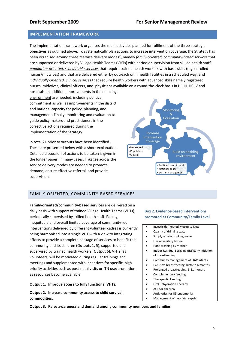# **IMPLEMENTATION FRAMEWORK**

The implementation framework organises the main activities planned for fulfilment of the three strategic objectives as outlined above. To systematically plan actions to increase intervention coverage, the Strategy has been organised around three "service delivery modes", namely *family‐oriented, community‐based services* that are supported or delivered by Village Health Teams (VHTs) with periodic supervision from skilled health staff; *population‐oriented, schedulable services* that require trained health workers with basic skills (e.g. enrolled nurses/midwives) and that are delivered either by outreach or in health facilities in a scheduled way; and *individually‐oriented, clinical services* that require health workers with advanced skills namely registered nurses, midwives, clinical officers, and physicians available on a round‐the‐clock basis in HC III, HC IV and hospitals. In addition, improvements in the enabling

environment are needed, including political commitment as well as improvements in the district and national capacity for policy, planning, and management. Finally, monitoring and evaluation to guide policy makers and practitioners in the corrective actions required during the implementation of the Strategy.

In total 21 priority outputs have been identified. These are presented below with a short explanation. Detailed discussion of actions to be taken is given in the longer paper. In many cases, linkages across the service delivery modes are needed to promote demand, ensure effective referral, and provide supervision.



# FAMILY‐ORIENTED, COMMUNITY‐BASED SERVICES

**Family‐oriented/community‐based services** are delivered on a daily basis with support of trained Village Health Teams (VHTs) periodically supervised by skilled health staff. Patchy, inequitable and overall limited coverage of community‐led interventions delivered by different volunteer cadres is currently being harmonised into a single VHT with a view to integrating efforts to provide a complete package of services to benefit the community and its children (Outputs 1, 5), supported and supervised by trained health workers (Output 6). VHTs, as volunteers, will be motivated during regular trainings and meetings and supplemented with incentives for specific, high priority activities such as post‐natal visits or ITN use/promotion as resources become available.

## **Output 1. Improve access to fully functional VHTs.**

**Output 2. Increase community access to child survival commodities.**

## **Box 2. Evidence‐based interventions promoted at Community/Family Level**

- Insecticide Treated Mosquito Nets
- Quality of drinking water
- Supply of safe drinking water
- Use of sanitary latrine
- Hand washing by mother
- Indoor Residual Spraying (IRS)Early initiation of breastfeeding
- Community management of LBW infants
- Exclusive breastfeeding, birth to 6 months
- Prolonged breastfeeding, 6‐11 months
- Complementary feeding
- Therapeutic Feeding‐
- Oral Rehydration Therapy
- ACT for children
- Antibiotics for U5 pneumonia‐
- Management of neonatal sepsis‐

**Output 3. Raise awareness and demand among community members and families**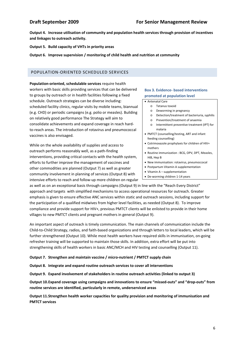**Output 4. Increase utilisation of community and population health services through provision of incentives and linkages to outreach activity.**

**Output 5. Build capacity of VHTs in priority areas** 

**Output 6. Improve supervision / monitoring of child health and nutrition at community** 

# POPULATION‐ORIENTED SCHEDULED SERVICES

**Population‐oriented, schedulable services** require health workers with basic skills providing services that can be delivered to groups by outreach or in health facilities following a fixed schedule. Outreach strategies can be diverse including: scheduled facility clinics, regular visits by mobile teams, biannual (e.g. CHD) or periodic campaigns (e.g. polio or measles). Building on relatively good performance The Strategy will aim to consolidate achievements and expand coverage in reach hard‐ to-reach areas. The introduction of rotavirus and pneumococcal vaccines is also envisaged.

While on the whole availability of supplies and access to outreach performs reasonably well, as a path‐finding interventions, providing critical contacts with the health system, efforts to further improve the management of vaccines and other commodities are planned (Output 7) as well as greater community involvement in planning of services (Output 8) with intensive efforts to reach and follow‐up more children on regular

# **Box 3. Evidence‐ based interventions promoted at population level**

Antenatal Care

- o Tetanus toxoid
	- o Deworming in pregnancy
	- o Detection/treatment of bacteriuria, syphilis
	- o Prevention/treatment of anaemia
	- o Intermittent preventive treatment (IPT) for malaria
- PMTCT (counselling/testing, ART and infant feeding counselling)
- Cotrimoxazole prophylaxis for children of HIV+ mothers
- Routine immunization : BCG, OPV, DPT, Measles, HiB, Hep B
- New immunisation: rotavirus, pneumoccocal
- Postpartum Vitamin A supplementation
- Vitamin A supplementation
- De‐worming children 1‐14 years

as well as on an exceptional basis through campaigns (Output 9) in line with the "Reach Every District" approach and targets with simplified mechanisms to access operational resources for outreach. Greater emphasis is given to ensure effective ANC services within static and outreach sessions, including support for the participation of a qualified midwives from higher level facilities, as needed (Output 8). To improve compliance and provide support for HIV+, previous PMTCT clients will be enlisted to provide in their home villages to new PMTCT clients and pregnant mothers in general (Output 9).

An important aspect of outreach is timely communication. The main channels of communication include the Child‐to‐Child Strategy, radios, and faith‐based organizations and through letters to local leaders, which will be further strengthened (Output 10). While most health workers have required skills in immunisation, on‐going refresher training will be supported to maintain those skills. In addition, extra effort will be put into strengthening skills of health workers in basic ANC/MCH and HIV testing and counselling (Output 11).

## **Output 7. Strengthen and maintain vaccine / micro‐nutrient / PMTCT supply chain**

**Output 8. Integrate and expand routine outreach services to cover all interventions**

**Output 9. Expand involvement of stakeholders in routine outreach activities (linked to output 3)**

**Output 10.Expand coverage using campaigns and innovations to ensure "missed‐outs" and "drop‐outs" from routine services are identified, particularly in remote, underserviced areas**

**Output 11.Strengthen health worker capacities for quality provision and monitoring of immunisation and PMTCT services**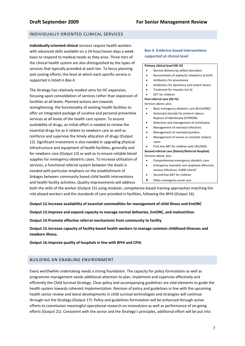# INDIVIDUALLY ORIENTED CLINICAL SERVICES

**Individually‐oriented clinical** services require health workers with advanced skills available on a 24‐hour/seven days a week basis to respond to medical needs as they arise. Three tiers of the clinical health system are also distinguished by the types of services that typically provided at each tier. To focus planning and costing efforts, the level at which each specific service is supported is listed in Box 4.

The Strategy has relatively modest aims for HC expansion, focusing upon consolidation of services rather than expansion of facilities at all levels. Planned actions aim towards strengthening: the functionality of existing health facilities to offer an integrated package of curative and personal preventive services at all levels of the health care system. To ensure availability of drugs, an initial effort is needed to review the essential drugs list as it relates to newborn care as well as reinforce and supervise the timely allocation of drugs (Output 12). Significant investment is also needed in upgrading physical infrastructure and equipment of health facilities, generally and for newborn care (Output 13) as well as to ensure reliable blood supplies for emergency obstetric cases. To increase utilisation of services, a functional referral system between the levels is needed with particular emphasis on the establishment of linkages between community based child health interventions and health facility activities**.** Quality improvements will address

# **Box 4. Evidence‐based interventions supported at clinical level**

### **Primary clinical level (HC‐III)**

- Normal delivery by skilled attendant
- Resuscitation of asphyctic newborns at birth
- Antibiotics for pneumonia
- Antibiotics for dysentery and enteric fevers
- Treatment for measles (vit A)
- ACT for children

**First referral care (HC‐IV)**

Services above, plus

- Basic emergency obstetric care (B‐EmONC)
- Antenatal steroids for preterm labour, Rupture of Membrane (P/PROM)
- Detection and management of ecclampsia
- Management of neonatal infections
- Management of neonatal jaundice
- Management of severe or resistant malaria cases

 First line ART for children with HIV/AIDS **Second referral care (District/Referral Hospital)** Services above, plus

- Comprehensive emergency obstetric care
- Emergency neonatal care (asphyxia aftercare, serious infections, VLBW infant)<sup>+</sup>
- Second-line ART for children
- Other emergency acute care

both the skills of the worker (Output 15) using modular, competence-based training approaches matching the role played workers and the standards of care provided in facilities, following the BFHI (Output 16).

**Output 12.Increase availability of essential commodities for management of child illness and EmONC**

**Output 13.Improve and expand capacity to manage normal deliveries, EmONC, and malnutrition**

**Output 14.Promote effective referral mechanisms from community to facility**

**Output 15.Increase capacity of facility‐based health workers to manage common childhood illnesses and newborn illness.**

**Output 16.Improve quality of hospitals in line with BFHI and CFHI.**

# BUILDING AN ENABLING ENVIRONMENT

Every worthwhile undertaking needs a strong foundation. The capacity for policy formulation as well as programme management needs additional attention to plan, implement and supervise effectively and efficiently the Child Survival Strategy. Clear policy and accompanying guidelines are vital elements to guide the health system towards coherent implementation. Revision of policy and guidelines in line with the upcoming health sector review and latest developments in child survival technologies and strategies will continue through‐out the Strategy (Output 17). Policy and guidelines formulation will be enhanced through active efforts to commission meaningful operational research on innovations as well as performance of on‐going efforts (Output 21). Consistent with the sector and the Strategy's principles, additional effort will be put into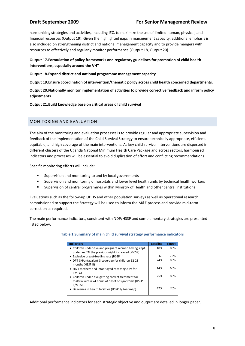# **Draft September 2009 For Senior Management Review**

harmonizing strategies and activities, including IEC, to maximize the use of limited human, physical, and financial resources (Output 19). Given the highlighted gaps in management capacity, additional emphasis is also included on strengthening district and national management capacity and to provide mangers with resources to effectively and regularly monitor performance (Output 18, Output 20).

# **Output 17.Formulation of policy frameworks and regulatory guidelines for promotion of child health interventions, especially around the VHT**

**Output 18.Expand district and national programme management capacity**

**Output 19.Ensure coordination of intervention/thematic policy across child health concerned departments.**

**Output 20.Nationally monitor implementation of activities to provide corrective feedback and inform policy adjustments** 

**Output 21.Build knowledge base on critical areas of child survival**

# MONITORING AND EVALUATION

The aim of the monitoring and evaluation processes is to provide regular and appropriate supervision and feedback of the implementation of the Child Survival Strategy to ensure technically appropriate, efficient, equitable, and high coverage of the main interventions. As key child survival interventions are dispersed in different clusters of the Uganda National Minimum Health Care Package and across sectors, harmonised indicators and processes will be essential to avoid duplication of effort and conflicting recommendations.

Specific monitoring efforts will include:

- **EXECUTE:** Supervision and monitoring to and by local governments
- Supervision and monitoring of hospitals and lower level health units by technical health workers
- Supervision of central programmes within Ministry of Health and other central institutions

Evaluations such as the follow‐up UDHS and other population surveys as well as operational research commissioned to support the Strategy will be used to inform the M&E process and provide mid‐term correction as required.

The main performance indicators, consistent with NDP/HSSP and complementary strategies are presented listed below:

## **Table 1 Summary of main child survival strategy performance indicators**

| <b>Indicators</b>                                                                                         | <b>Baseline</b> | <b>Target</b> |
|-----------------------------------------------------------------------------------------------------------|-----------------|---------------|
| • Children under-five and pregnant women having slept<br>under an ITN the previous night increased (MCSP) | 10%             | 80%           |
|                                                                                                           |                 |               |
| • Exclusive breast-feeding rate (HSSP II)                                                                 | 60              | 75%           |
| • DPT-3/Pentavalent-3 coverage for children 12-23<br>months (HSSP II)                                     | 74%             | 85%           |
|                                                                                                           | 14%             | 60%           |
| • HIV+ mothers and infant dyad receiving ARV for<br><b>PMTCT</b>                                          |                 |               |
| • Children under-five getting correct treatment for                                                       | 25%             | 80%           |
| malaria within 24 hours of onset of symptoms (HSSP<br>II/MCSP)                                            |                 |               |
| • Deliveries in health facilities (HSSP II/Roadmap)                                                       | 42%             | 70%           |
|                                                                                                           |                 |               |

Additional performance indicators for each strategic objective and output are detailed in longer paper.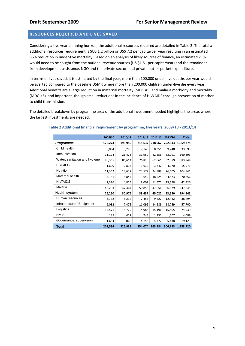# **RESOURCES REQUIRED AND LIVES SAVED**

Considering a five year planning horizon, the additional resources required are detailed in Table 2. The total a additional resources requirement is \$US 1.2 billion or US\$ 7.2 per capita/per year resulting in an estimated 56% reduction in under‐five mortality. Based on an analysis of likely sources of finance, an estimated 21% would need to be sought from the national revenue sources (US \$1.51 per capita/year) and the remainder from development assistance, NGO and the private sector, and private out‐of‐pocket expenditure.

In terms of lives saved, it is estimated by the final year, more than 100,000 under‐five deaths per year would be averted compared to the baseline U5MR where more than 200,000 children under‐five die every year. Additional benefits are a large reduction in maternal mortality (MDG #5) and malaria morbidity and mortality (MDG #6), and important, though small reductions in the incidence of HIV/AIDS through prevention of mother to child transmission.

The detailed breakdown by programme area of the additional investment needed highlights the areas where the largest investments are needed.

|                               | 2009/10 | 2010/11 | 2011/12 | 2012/13 | 2013/14 | <b>Total</b> |
|-------------------------------|---------|---------|---------|---------|---------|--------------|
| Programme                     | 176,274 | 195,959 | 215,637 | 218,962 | 252,543 | 1,059,375    |
| Child health                  | 3,064   | 5,290   | 7,143   | 8,351   | 9,748   | 33,595       |
| Immunization                  | 11,124  | 21,473  | 31,950  | 42,556  | 53,291  | 160,393      |
| Water, sanitation and hygiene | 96,365  | 86,614  | 76,828  | 62,061  | 62,079  | 383,948      |
| <b>BCC/IEC</b>                | 1,609   | 2,816   | 3,630   | 3,847   | 4,070   | 15,971       |
| <b>Nutrition</b>              | 11,342  | 18,632  | 23,572  | 24,989  | 26,405  | 104,941      |
| Maternal health               | 5,151   | 8,847   | 13,659  | 18,525  | 24,473  | 70,656       |
| <b>HIV/AIDS</b>               | 2,326   | 4,824   | 8,002   | 11,577  | 15,598  | 42,326       |
| Malaria                       | 45,293  | 47,464  | 50,853  | 47,056  | 56,879  | 247,545      |
| <b>Health system</b>          | 26,260  | 30,976  | 38,437  | 45,022  | 53,650  | 194,345      |
| Human resources               | 3,738   | 5,232   | 7,455   | 9,627   | 12,442  | 38,494       |
| Infrastructure / Equipment    | 6,082   | 7,475   | 11,095  | 14,289  | 18,759  | 57,700       |
| Logistics                     | 14,571  | 14,779  | 14,988  | 15,196  | 15,405  | 74,939       |
| <b>HMIS</b>                   | 185     | 422     | 743     | 1,132   | 1,607   | 4,089        |
| Governance, supervision       | 1,684   | 3,068   | 4,156   | 4,777   | 5,438   | 19,123       |
| <b>Total</b>                  | 202,534 | 226,935 | 254,074 | 263,984 | 306,193 | 1,253,720    |

## **Table 2 Additional financial requirement by programme, five years, 2009/10 ‐ 2013/14**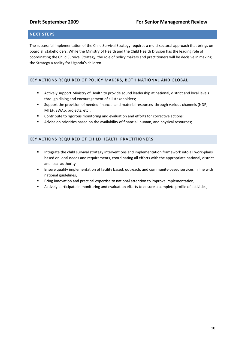# **NEXT STEPS**

The successful implementation of the Child Survival Strategy requires a multi‐sectoral approach that brings on board all stakeholders. While the Ministry of Health and the Child Health Division has the leading role of coordinating the Child Survival Strategy, the role of policy makers and practitioners will be decisive in making the Strategy a reality for Uganda's children.

# KEY ACTIONS REQUIRED OF POLICY MAKERS, BOTH NATIONAL AND GLOBAL

- Actively support Ministry of Health to provide sound leadership at national, district and local levels through dialog and encouragement of all stakeholders;
- Support the provision of needed financial and material resources through various channels (NDP, MTEF, SWAp, projects, etc);
- Contribute to rigorous monitoring and evaluation and efforts for corrective actions;
- Advice on priorities based on the availability of financial, human, and physical resources;

# KEY ACTIONS REQUIRED OF CHILD HEALTH PRACTITIONERS

- Integrate the child survival strategy interventions and implementation framework into all work-plans based on local needs and requirements, coordinating all efforts with the appropriate national, district and local authority
- Ensure quality implementation of facility based, outreach, and community-based services in line with national guidelines;
- **Bring innovation and practical expertise to national attention to improve implementation;**
- Actively participate in monitoring and evaluation efforts to ensure a complete profile of activities;